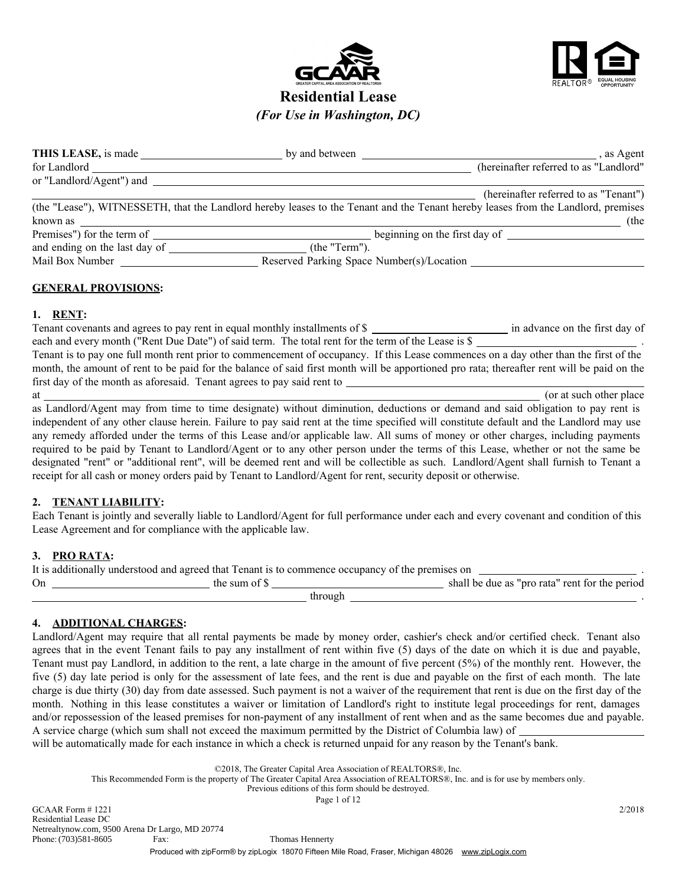



# Residential Lease *(For Use in Washington, DC)*

| THIS LEASE, is made      | by and between | , as Agent                             |
|--------------------------|----------------|----------------------------------------|
| for Landlord             |                | (hereinafter referred to as "Landlord" |
| or "Landlord/Agent") and |                |                                        |
|                          |                | (hereinafter referred to as "Tenant")  |

|                               | (the "Lease"), WITNESSETH, that the Landlord hereby leases to the Tenant and the Tenant hereby leases from the Landlord, premises |
|-------------------------------|-----------------------------------------------------------------------------------------------------------------------------------|
| known as                      | (the                                                                                                                              |
| Premises") for the term of    | beginning on the first day of                                                                                                     |
| and ending on the last day of | (the "Term").                                                                                                                     |
| Mail Box Number               | Reserved Parking Space Number(s)/Location                                                                                         |

## GENERAL PROVISIONS:

### 1. RENT:

Tenant covenants and agrees to pay rent in equal monthly installments of \$ each and every month ("Rent Due Date") of said term. The total rent for the term of the Lease is \$

Tenant is to pay one full month rent prior to commencement of occupancy. If this Lease commences on a day other than the first of the month, the amount of rent to be paid for the balance of said first month will be apportioned pro rata; thereafter rent will be paid on the first day of the month as aforesaid. Tenant agrees to pay said rent to

at the contract of the contract of the contract of the contract of the contract of the contract of the contract of the contract of the contract of the contract of the contract of the contract of the contract of the contrac

as Landlord/Agent may from time to time designate) without diminution, deductions or demand and said obligation to pay rent is independent of any other clause herein. Failure to pay said rent at the time specified will constitute default and the Landlord may use any remedy afforded under the terms of this Lease and/or applicable law. All sums of money or other charges, including payments required to be paid by Tenant to Landlord/Agent or to any other person under the terms of this Lease, whether or not the same be designated "rent" or "additional rent", will be deemed rent and will be collectible as such. Landlord/Agent shall furnish to Tenant a receipt for all cash or money orders paid by Tenant to Landlord/Agent for rent, security deposit or otherwise.

# 2. TENANT LIABILITY:

Each Tenant is jointly and severally liable to Landlord/Agent for full performance under each and every covenant and condition of this Lease Agreement and for compliance with the applicable law.

# 3. PRO RATA:

| It is additionally understood and agreed that Tenant is to commence occupancy of the premises on |               |                                                |  |
|--------------------------------------------------------------------------------------------------|---------------|------------------------------------------------|--|
| On                                                                                               | the sum of \$ | shall be due as "pro rata" rent for the period |  |
|                                                                                                  | through       |                                                |  |

# 4. ADDITIONAL CHARGES:

Landlord/Agent may require that all rental payments be made by money order, cashier's check and/or certified check. Tenant also agrees that in the event Tenant fails to pay any installment of rent within five (5) days of the date on which it is due and payable, Tenant must pay Landlord, in addition to the rent, a late charge in the amount of five percent (5%) of the monthly rent. However, the five (5) day late period is only for the assessment of late fees, and the rent is due and payable on the first of each month. The late charge is due thirty (30) day from date assessed. Such payment is not a waiver of the requirement that rent is due on the first day of the month. Nothing in this lease constitutes a waiver or limitation of Landlord's right to institute legal proceedings for rent, damages and/or repossession of the leased premises for non-payment of any installment of rent when and as the same becomes due and payable. A service charge (which sum shall not exceed the maximum permitted by the District of Columbia law) of

will be automatically made for each instance in which a check is returned unpaid for any reason by the Tenant's bank.

©2018, The Greater Capital Area Association of REALTORS®, Inc.

This Recommended Form is the property of The Greater Capital Area Association of REALTORS®, Inc. and is for use by members only.

Previous editions of this form should be destroyed.

Page 1 of 12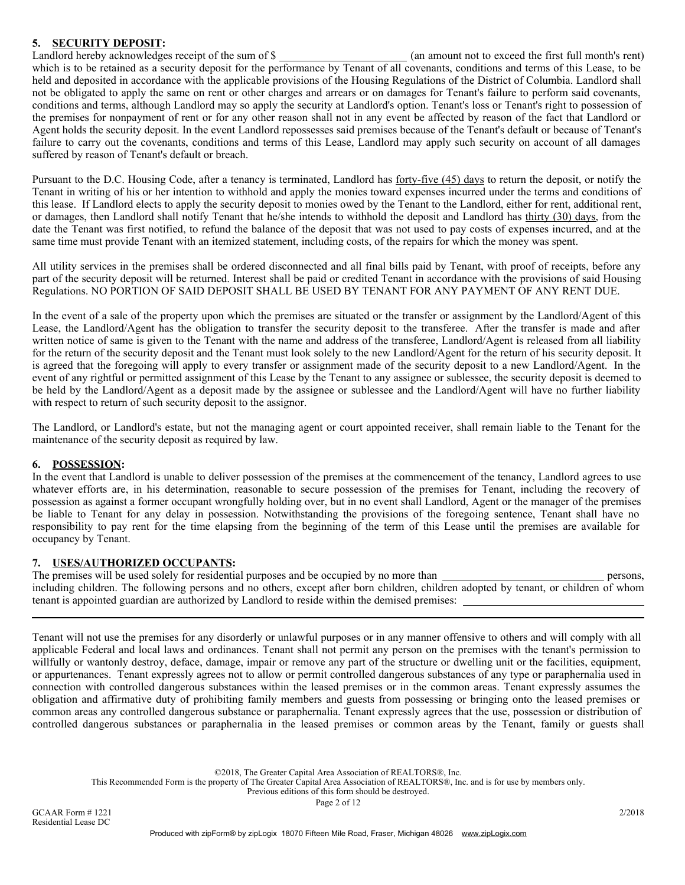# 5. SECURITY DEPOSIT:

Landlord hereby acknowledges receipt of the sum of \$ (an amount not to exceed the first full month's rent) which is to be retained as a security deposit for the performance by Tenant of all covenants, conditions and terms of this Lease, to be held and deposited in accordance with the applicable provisions of the Housing Regulations of the District of Columbia. Landlord shall not be obligated to apply the same on rent or other charges and arrears or on damages for Tenant's failure to perform said covenants, conditions and terms, although Landlord may so apply the security at Landlord's option. Tenant's loss or Tenant's right to possession of the premises for nonpayment of rent or for any other reason shall not in any event be affected by reason of the fact that Landlord or Agent holds the security deposit. In the event Landlord repossesses said premises because of the Tenant's default or because of Tenant's failure to carry out the covenants, conditions and terms of this Lease, Landlord may apply such security on account of all damages suffered by reason of Tenant's default or breach.

Pursuant to the D.C. Housing Code, after a tenancy is terminated, Landlord has <u>forty-five (45) days</u> to return the deposit, or notify the Tenant in writing of his or her intention to withhold and apply the monies toward expenses incurred under the terms and conditions of this lease. If Landlord elects to apply the security deposit to monies owed by the Tenant to the Landlord, either for rent, additional rent, or damages, then Landlord shall notify Tenant that he/she intends to withhold the deposit and Landlord has thirty (30) days, from the date the Tenant was first notified, to refund the balance of the deposit that was not used to pay costs of expenses incurred, and at the same time must provide Tenant with an itemized statement, including costs, of the repairs for which the money was spent.

All utility services in the premises shall be ordered disconnected and all final bills paid by Tenant, with proof of receipts, before any part of the security deposit will be returned. Interest shall be paid or credited Tenant in accordance with the provisions of said Housing Regulations. NO PORTION OF SAID DEPOSIT SHALL BE USED BY TENANT FOR ANY PAYMENT OF ANY RENT DUE.

In the event of a sale of the property upon which the premises are situated or the transfer or assignment by the Landlord/Agent of this Lease, the Landlord/Agent has the obligation to transfer the security deposit to the transferee. After the transfer is made and after written notice of same is given to the Tenant with the name and address of the transferee, Landlord/Agent is released from all liability for the return of the security deposit and the Tenant must look solely to the new Landlord/Agent for the return of his security deposit. It is agreed that the foregoing will apply to every transfer or assignment made of the security deposit to a new Landlord/Agent. In the event of any rightful or permitted assignment of this Lease by the Tenant to any assignee or sublessee, the security deposit is deemed to be held by the Landlord/Agent as a deposit made by the assignee or sublessee and the Landlord/Agent will have no further liability with respect to return of such security deposit to the assignor.

The Landlord, or Landlord's estate, but not the managing agent or court appointed receiver, shall remain liable to the Tenant for the maintenance of the security deposit as required by law.

# 6. POSSESSION:

In the event that Landlord is unable to deliver possession of the premises at the commencement of the tenancy, Landlord agrees to use whatever efforts are, in his determination, reasonable to secure possession of the premises for Tenant, including the recovery of possession as against a former occupant wrongfully holding over, but in no event shall Landlord, Agent or the manager of the premises be liable to Tenant for any delay in possession. Notwithstanding the provisions of the foregoing sentence, Tenant shall have no responsibility to pay rent for the time elapsing from the beginning of the term of this Lease until the premises are available for occupancy by Tenant.

### 7. USES/AUTHORIZED OCCUPANTS:

The premises will be used solely for residential purposes and be occupied by no more than persons, including children. The following persons and no others, except after born children, children adopted by tenant, or children of whom tenant is appointed guardian are authorized by Landlord to reside within the demised premises:

Tenant will not use the premises for any disorderly or unlawful purposes or in any manner offensive to others and will comply with all applicable Federal and local laws and ordinances. Tenant shall not permit any person on the premises with the tenant's permission to willfully or wantonly destroy, deface, damage, impair or remove any part of the structure or dwelling unit or the facilities, equipment, or appurtenances. Tenant expressly agrees not to allow or permit controlled dangerous substances of any type or paraphernalia used in connection with controlled dangerous substances within the leased premises or in the common areas. Tenant expressly assumes the obligation and affirmative duty of prohibiting family members and guests from possessing or bringing onto the leased premises or common areas any controlled dangerous substance or paraphernalia. Tenant expressly agrees that the use, possession or distribution of controlled dangerous substances or paraphernalia in the leased premises or common areas by the Tenant, family or guests shall

©2018, The Greater Capital Area Association of REALTORS®, Inc.

This Recommended Form is the property of The Greater Capital Area Association of REALTORS®, Inc. and is for use by members only.

Previous editions of this form should be destroyed.

Page 2 of 12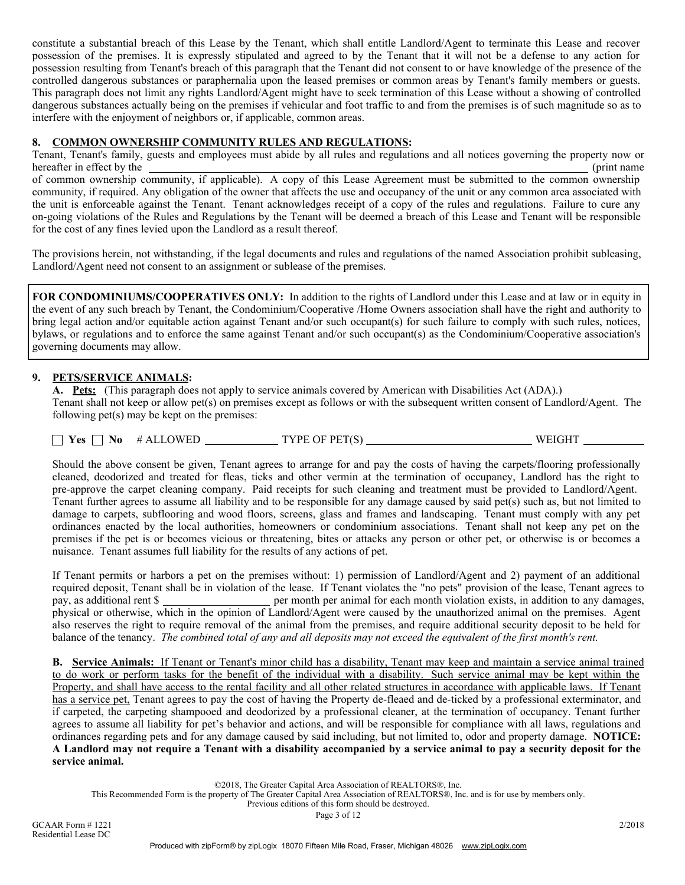constitute a substantial breach of this Lease by the Tenant, which shall entitle Landlord/Agent to terminate this Lease and recover possession of the premises. It is expressly stipulated and agreed to by the Tenant that it will not be a defense to any action for possession resulting from Tenant's breach of this paragraph that the Tenant did not consent to or have knowledge of the presence of the controlled dangerous substances or paraphernalia upon the leased premises or common areas by Tenant's family members or guests. This paragraph does not limit any rights Landlord/Agent might have to seek termination of this Lease without a showing of controlled dangerous substances actually being on the premises if vehicular and foot traffic to and from the premises is of such magnitude so as to interfere with the enjoyment of neighbors or, if applicable, common areas.

### 8. COMMON OWNERSHIP COMMUNITY RULES AND REGULATIONS:

for the cost of any fines levied upon the Landlord as a result thereof.

Tenant, Tenant's family, guests and employees must abide by all rules and regulations and all notices governing the property now or hereafter in effect by the (print name) (print name) of common ownership community, if applicable). A copy of this Lease Agreement must be submitted to the common ownership community, if required. Any obligation of the owner that affects the use and occupancy of the unit or any common area associated with the unit is enforceable against the Tenant. Tenant acknowledges receipt of a copy of the rules and regulations. Failure to cure any on-going violations of the Rules and Regulations by the Tenant will be deemed a breach of this Lease and Tenant will be responsible

The provisions herein, not withstanding, if the legal documents and rules and regulations of the named Association prohibit subleasing, Landlord/Agent need not consent to an assignment or sublease of the premises.

FOR CONDOMINIUMS/COOPERATIVES ONLY: In addition to the rights of Landlord under this Lease and at law or in equity in the event of any such breach by Tenant, the Condominium/Cooperative /Home Owners association shall have the right and authority to bring legal action and/or equitable action against Tenant and/or such occupant(s) for such failure to comply with such rules, notices, bylaws, or regulations and to enforce the same against Tenant and/or such occupant(s) as the Condominium/Cooperative association's governing documents may allow.

### 9. PETS/SERVICE ANIMALS:

A. Pets: (This paragraph does not apply to service animals covered by American with Disabilities Act (ADA).) Tenant shall not keep or allow pet(s) on premises except as follows or with the subsequent written consent of Landlord/Agent. The following pet(s) may be kept on the premises:

Yes No # ALLOWED TYPE OF PET(S) WEIGHT

Should the above consent be given, Tenant agrees to arrange for and pay the costs of having the carpets/flooring professionally cleaned, deodorized and treated for fleas, ticks and other vermin at the termination of occupancy, Landlord has the right to pre-approve the carpet cleaning company. Paid receipts for such cleaning and treatment must be provided to Landlord/Agent. Tenant further agrees to assume all liability and to be responsible for any damage caused by said pet(s) such as, but not limited to damage to carpets, subflooring and wood floors, screens, glass and frames and landscaping. Tenant must comply with any pet ordinances enacted by the local authorities, homeowners or condominium associations. Tenant shall not keep any pet on the premises if the pet is or becomes vicious or threatening, bites or attacks any person or other pet, or otherwise is or becomes a nuisance. Tenant assumes full liability for the results of any actions of pet.

If Tenant permits or harbors a pet on the premises without: 1) permission of Landlord/Agent and 2) payment of an additional required deposit, Tenant shall be in violation of the lease. If Tenant violates the "no pets" provision of the lease, Tenant agrees to pay, as additional rent \$ per month per animal for each month violation exists, in addition to any damages, physical or otherwise, which in the opinion of Landlord/Agent were caused by the unauthorized animal on the premises. Agent also reserves the right to require removal of the animal from the premises, and require additional security deposit to be held for balance of the tenancy. *The combined total of any and all deposits may not exceed the equivalent of the first month's rent.*

B. Service Animals: If Tenant or Tenant's minor child has a disability, Tenant may keep and maintain a service animal trained to do work or perform tasks for the benefit of the individual with a disability. Such service animal may be kept within the Property, and shall have access to the rental facility and all other related structures in accordance with applicable laws. If Tenant has a service pet, Tenant agrees to pay the cost of having the Property de-fleaed and de-ticked by a professional exterminator, and if carpeted, the carpeting shampooed and deodorized by a professional cleaner, at the termination of occupancy. Tenant further agrees to assume all liability for pet's behavior and actions, and will be responsible for compliance with all laws, regulations and ordinances regarding pets and for any damage caused by said including, but not limited to, odor and property damage. NOTICE: A Landlord may not require a Tenant with a disability accompanied by a service animal to pay a security deposit for the service animal.

©2018, The Greater Capital Area Association of REALTORS®, Inc.

This Recommended Form is the property of The Greater Capital Area Association of REALTORS®, Inc. and is for use by members only.

Previous editions of this form should be destroyed.

Page 3 of 12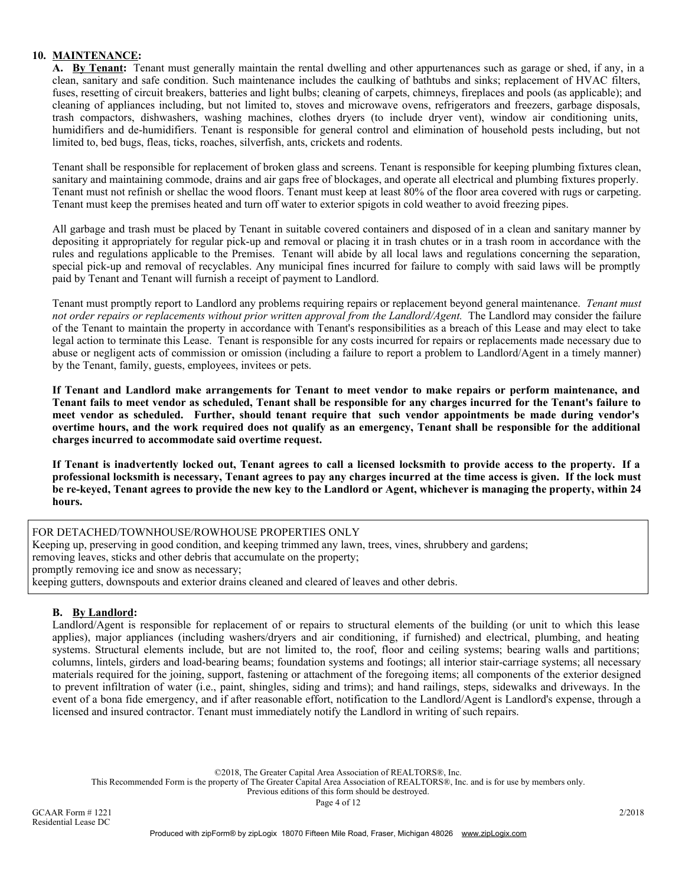# 10. MAINTENANCE:

A. By Tenant: Tenant must generally maintain the rental dwelling and other appurtenances such as garage or shed, if any, in a clean, sanitary and safe condition. Such maintenance includes the caulking of bathtubs and sinks; replacement of HVAC filters, fuses, resetting of circuit breakers, batteries and light bulbs; cleaning of carpets, chimneys, fireplaces and pools (as applicable); and cleaning of appliances including, but not limited to, stoves and microwave ovens, refrigerators and freezers, garbage disposals, trash compactors, dishwashers, washing machines, clothes dryers (to include dryer vent), window air conditioning units, humidifiers and de-humidifiers. Tenant is responsible for general control and elimination of household pests including, but not limited to, bed bugs, fleas, ticks, roaches, silverfish, ants, crickets and rodents.

Tenant shall be responsible for replacement of broken glass and screens. Tenant is responsible for keeping plumbing fixtures clean, sanitary and maintaining commode, drains and air gaps free of blockages, and operate all electrical and plumbing fixtures properly. Tenant must not refinish or shellac the wood floors. Tenant must keep at least 80% of the floor area covered with rugs or carpeting. Tenant must keep the premises heated and turn off water to exterior spigots in cold weather to avoid freezing pipes.

All garbage and trash must be placed by Tenant in suitable covered containers and disposed of in a clean and sanitary manner by depositing it appropriately for regular pick-up and removal or placing it in trash chutes or in a trash room in accordance with the rules and regulations applicable to the Premises. Tenant will abide by all local laws and regulations concerning the separation, special pick-up and removal of recyclables. Any municipal fines incurred for failure to comply with said laws will be promptly paid by Tenant and Tenant will furnish a receipt of payment to Landlord.

Tenant must promptly report to Landlord any problems requiring repairs or replacement beyond general maintenance. *Tenant must not order repairs or replacements without prior written approval from the Landlord/Agent.* The Landlord may consider the failure of the Tenant to maintain the property in accordance with Tenant's responsibilities as a breach of this Lease and may elect to take legal action to terminate this Lease. Tenant is responsible for any costs incurred for repairs or replacements made necessary due to abuse or negligent acts of commission or omission (including a failure to report a problem to Landlord/Agent in a timely manner) by the Tenant, family, guests, employees, invitees or pets.

If Tenant and Landlord make arrangements for Tenant to meet vendor to make repairs or perform maintenance, and Tenant fails to meet vendor as scheduled, Tenant shall be responsible for any charges incurred for the Tenant's failure to meet vendor as scheduled. Further, should tenant require that such vendor appointments be made during vendor's overtime hours, and the work required does not qualify as an emergency, Tenant shall be responsible for the additional charges incurred to accommodate said overtime request.

If Tenant is inadvertently locked out, Tenant agrees to call a licensed locksmith to provide access to the property. If a professional locksmith is necessary, Tenant agrees to pay any charges incurred at the time access is given. If the lock must be re-keyed, Tenant agrees to provide the new key to the Landlord or Agent, whichever is managing the property, within 24 hours.

FOR DETACHED/TOWNHOUSE/ROWHOUSE PROPERTIES ONLY Keeping up, preserving in good condition, and keeping trimmed any lawn, trees, vines, shrubbery and gardens; removing leaves, sticks and other debris that accumulate on the property; promptly removing ice and snow as necessary; keeping gutters, downspouts and exterior drains cleaned and cleared of leaves and other debris.

### B. By Landlord:

Landlord/Agent is responsible for replacement of or repairs to structural elements of the building (or unit to which this lease applies), major appliances (including washers/dryers and air conditioning, if furnished) and electrical, plumbing, and heating systems. Structural elements include, but are not limited to, the roof, floor and ceiling systems; bearing walls and partitions; columns, lintels, girders and load-bearing beams; foundation systems and footings; all interior stair-carriage systems; all necessary materials required for the joining, support, fastening or attachment of the foregoing items; all components of the exterior designed to prevent infiltration of water (i.e., paint, shingles, siding and trims); and hand railings, steps, sidewalks and driveways. In the event of a bona fide emergency, and if after reasonable effort, notification to the Landlord/Agent is Landlord's expense, through a licensed and insured contractor. Tenant must immediately notify the Landlord in writing of such repairs.

©2018, The Greater Capital Area Association of REALTORS®, Inc.

This Recommended Form is the property of The Greater Capital Area Association of REALTORS®, Inc. and is for use by members only.

Previous editions of this form should be destroyed.

Page 4 of 12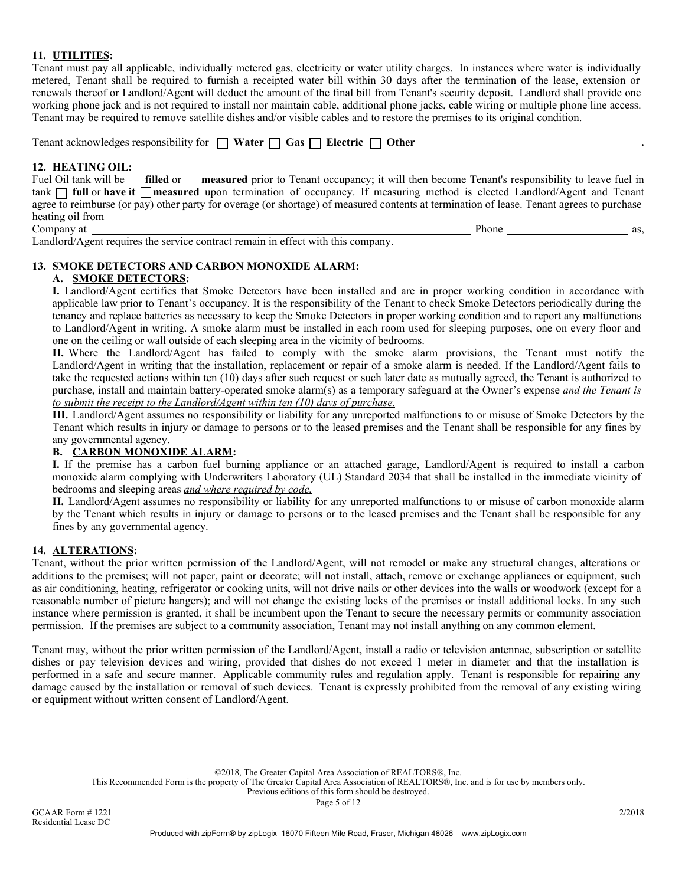# 11. UTILITIES:

Tenant must pay all applicable, individually metered gas, electricity or water utility charges. In instances where water is individually metered, Tenant shall be required to furnish a receipted water bill within 30 days after the termination of the lease, extension or renewals thereof or Landlord/Agent will deduct the amount of the final bill from Tenant's security deposit. Landlord shall provide one working phone jack and is not required to install nor maintain cable, additional phone jacks, cable wiring or multiple phone line access. Tenant may be required to remove satellite dishes and/or visible cables and to restore the premises to its original condition.

| Tenant acknowledges responsibility for $\Box$ Water $\Box$ Gas $\Box$ Electric $\Box$<br><b>Other</b> |  |
|-------------------------------------------------------------------------------------------------------|--|
|                                                                                                       |  |

#### 12. HEATING OIL:

| Fuel Oil tank will be $\Box$ filled or $\Box$ measured prior to Tenant occupancy; it will then become Tenant's responsibility to leave fuel in |
|------------------------------------------------------------------------------------------------------------------------------------------------|
| tank $\Box$ full or have it $\Box$ measured upon termination of occupancy. If measuring method is elected Landlord/Agent and Tenant            |
| agree to reimburse (or pay) other party for overage (or shortage) of measured contents at termination of lease. Tenant agrees to purchase      |
| heating oil from                                                                                                                               |

Company at Phone as, Landlord/Agent requires the service contract remain in effect with this company.

### 13. SMOKE DETECTORS AND CARBON MONOXIDE ALARM:

#### A. SMOKE DETECTORS:

I. Landlord/Agent certifies that Smoke Detectors have been installed and are in proper working condition in accordance with applicable law prior to Tenant's occupancy. It is the responsibility of the Tenant to check Smoke Detectors periodically during the tenancy and replace batteries as necessary to keep the Smoke Detectors in proper working condition and to report any malfunctions to Landlord/Agent in writing. A smoke alarm must be installed in each room used for sleeping purposes, one on every floor and one on the ceiling or wall outside of each sleeping area in the vicinity of bedrooms.

II. Where the Landlord/Agent has failed to comply with the smoke alarm provisions, the Tenant must notify the Landlord/Agent in writing that the installation, replacement or repair of a smoke alarm is needed. If the Landlord/Agent fails to take the requested actions within ten (10) days after such request or such later date as mutually agreed, the Tenant is authorized to purchase, install and maintain battery-operated smoke alarm(s) as a temporary safeguard at the Owner's expense *and the Tenant is to submit the receipt to the Landlord/Agent within ten (10) days of purchase.*

III. Landlord/Agent assumes no responsibility or liability for any unreported malfunctions to or misuse of Smoke Detectors by the Tenant which results in injury or damage to persons or to the leased premises and the Tenant shall be responsible for any fines by any governmental agency.

### B. CARBON MONOXIDE ALARM:

I. If the premise has a carbon fuel burning appliance or an attached garage, Landlord/Agent is required to install a carbon monoxide alarm complying with Underwriters Laboratory (UL) Standard 2034 that shall be installed in the immediate vicinity of bedrooms and sleeping areas *and where required by code.*

II. Landlord/Agent assumes no responsibility or liability for any unreported malfunctions to or misuse of carbon monoxide alarm by the Tenant which results in injury or damage to persons or to the leased premises and the Tenant shall be responsible for any fines by any governmental agency.

#### 14. ALTERATIONS:

Tenant, without the prior written permission of the Landlord/Agent, will not remodel or make any structural changes, alterations or additions to the premises; will not paper, paint or decorate; will not install, attach, remove or exchange appliances or equipment, such as air conditioning, heating, refrigerator or cooking units, will not drive nails or other devices into the walls or woodwork (except for a reasonable number of picture hangers); and will not change the existing locks of the premises or install additional locks. In any such instance where permission is granted, it shall be incumbent upon the Tenant to secure the necessary permits or community association permission. If the premises are subject to a community association, Tenant may not install anything on any common element.

Tenant may, without the prior written permission of the Landlord/Agent, install a radio or television antennae, subscription or satellite dishes or pay television devices and wiring, provided that dishes do not exceed 1 meter in diameter and that the installation is performed in a safe and secure manner. Applicable community rules and regulation apply. Tenant is responsible for repairing any damage caused by the installation or removal of such devices. Tenant is expressly prohibited from the removal of any existing wiring or equipment without written consent of Landlord/Agent.

©2018, The Greater Capital Area Association of REALTORS®, Inc.

This Recommended Form is the property of The Greater Capital Area Association of REALTORS®, Inc. and is for use by members only.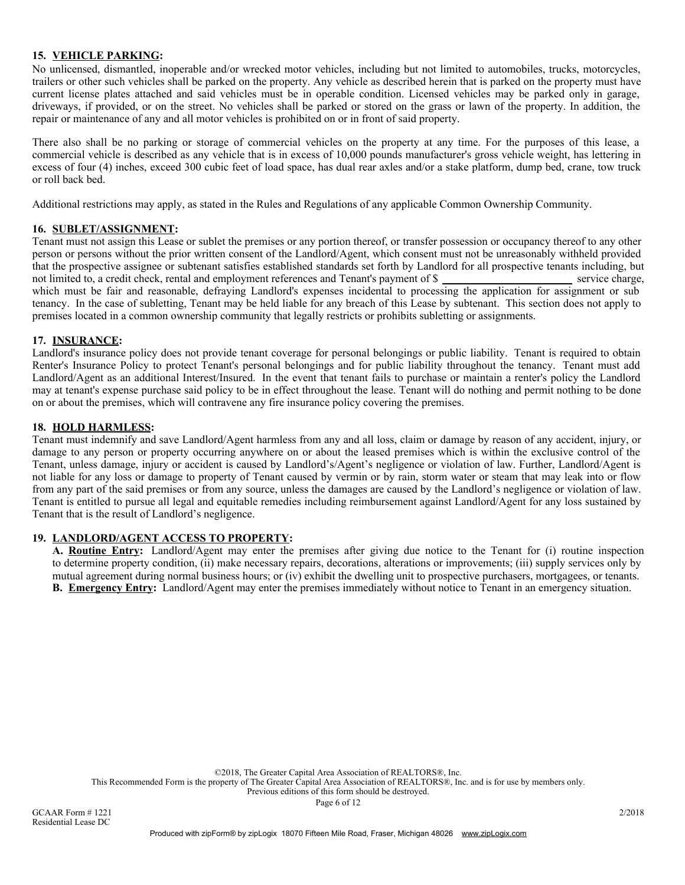# 15. VEHICLE PARKING:

No unlicensed, dismantled, inoperable and/or wrecked motor vehicles, including but not limited to automobiles, trucks, motorcycles, trailers or other such vehicles shall be parked on the property. Any vehicle as described herein that is parked on the property must have current license plates attached and said vehicles must be in operable condition. Licensed vehicles may be parked only in garage, driveways, if provided, or on the street. No vehicles shall be parked or stored on the grass or lawn of the property. In addition, the repair or maintenance of any and all motor vehicles is prohibited on or in front of said property.

There also shall be no parking or storage of commercial vehicles on the property at any time. For the purposes of this lease, a commercial vehicle is described as any vehicle that is in excess of 10,000 pounds manufacturer's gross vehicle weight, has lettering in excess of four (4) inches, exceed 300 cubic feet of load space, has dual rear axles and/or a stake platform, dump bed, crane, tow truck or roll back bed.

Additional restrictions may apply, as stated in the Rules and Regulations of any applicable Common Ownership Community.

#### 16. SUBLET/ASSIGNMENT:

Tenant must not assign this Lease or sublet the premises or any portion thereof, or transfer possession or occupancy thereof to any other person or persons without the prior written consent of the Landlord/Agent, which consent must not be unreasonably withheld provided that the prospective assignee or subtenant satisfies established standards set forth by Landlord for all prospective tenants including, but not limited to, a credit check, rental and employment references and Tenant's payment of \$ service charge, which must be fair and reasonable, defraying Landlord's expenses incidental to processing the application for assignment or sub tenancy. In the case of subletting, Tenant may be held liable for any breach of this Lease by subtenant. This section does not apply to premises located in a common ownership community that legally restricts or prohibits subletting or assignments.

#### 17. INSURANCE:

Landlord's insurance policy does not provide tenant coverage for personal belongings or public liability. Tenant is required to obtain Renter's Insurance Policy to protect Tenant's personal belongings and for public liability throughout the tenancy. Tenant must add Landlord/Agent as an additional Interest/Insured. In the event that tenant fails to purchase or maintain a renter's policy the Landlord may at tenant's expense purchase said policy to be in effect throughout the lease. Tenant will do nothing and permit nothing to be done on or about the premises, which will contravene any fire insurance policy covering the premises.

### 18. HOLD HARMLESS:

Tenant must indemnify and save Landlord/Agent harmless from any and all loss, claim or damage by reason of any accident, injury, or damage to any person or property occurring anywhere on or about the leased premises which is within the exclusive control of the Tenant, unless damage, injury or accident is caused by Landlord's/Agent's negligence or violation of law. Further, Landlord/Agent is not liable for any loss or damage to property of Tenant caused by vermin or by rain, storm water or steam that may leak into or flow from any part of the said premises or from any source, unless the damages are caused by the Landlord's negligence or violation of law. Tenant is entitled to pursue all legal and equitable remedies including reimbursement against Landlord/Agent for any loss sustained by Tenant that is the result of Landlord's negligence.

### 19. LANDLORD/AGENT ACCESS TO PROPERTY:

A. Routine Entry: Landlord/Agent may enter the premises after giving due notice to the Tenant for (i) routine inspection to determine property condition, (ii) make necessary repairs, decorations, alterations or improvements; (iii) supply services only by mutual agreement during normal business hours; or (iv) exhibit the dwelling unit to prospective purchasers, mortgagees, or tenants. B. Emergency Entry: Landlord/Agent may enter the premises immediately without notice to Tenant in an emergency situation.

©2018, The Greater Capital Area Association of REALTORS®, Inc.

This Recommended Form is the property of The Greater Capital Area Association of REALTORS®, Inc. and is for use by members only.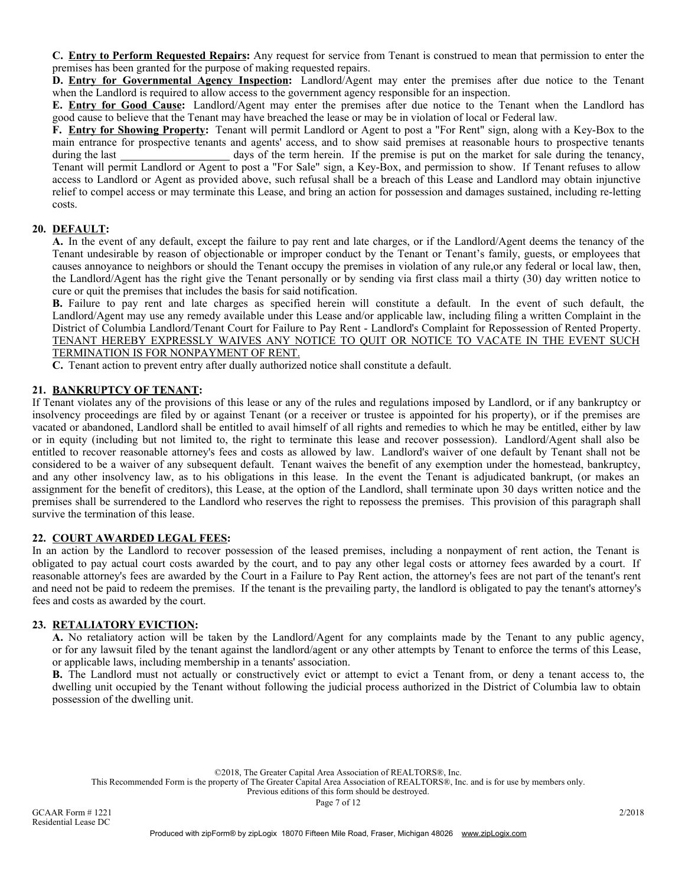C. Entry to Perform Requested Repairs: Any request for service from Tenant is construed to mean that permission to enter the premises has been granted for the purpose of making requested repairs.

D. Entry for Governmental Agency Inspection: Landlord/Agent may enter the premises after due notice to the Tenant when the Landlord is required to allow access to the government agency responsible for an inspection.

E. **Entry for Good Cause:** Landlord/Agent may enter the premises after due notice to the Tenant when the Landlord has good cause to believe that the Tenant may have breached the lease or may be in violation of local or Federal law.

F. Entry for Showing Property: Tenant will permit Landlord or Agent to post a "For Rent" sign, along with a Key-Box to the main entrance for prospective tenants and agents' access, and to show said premises at reasonable hours to prospective tenants during the last days of the term herein. If the premise is put on the market for sale during the tenancy, Tenant will permit Landlord or Agent to post a "For Sale" sign, a Key-Box, and permission to show. If Tenant refuses to allow access to Landlord or Agent as provided above, such refusal shall be a breach of this Lease and Landlord may obtain injunctive relief to compel access or may terminate this Lease, and bring an action for possession and damages sustained, including re-letting costs.

## 20. DEFAULT:

A. In the event of any default, except the failure to pay rent and late charges, or if the Landlord/Agent deems the tenancy of the Tenant undesirable by reason of objectionable or improper conduct by the Tenant or Tenant's family, guests, or employees that causes annoyance to neighbors or should the Tenant occupy the premises in violation of any rule,or any federal or local law, then, the Landlord/Agent has the right give the Tenant personally or by sending via first class mail a thirty (30) day written notice to cure or quit the premises that includes the basis for said notification.

B. Failure to pay rent and late charges as specified herein will constitute a default. In the event of such default, the Landlord/Agent may use any remedy available under this Lease and/or applicable law, including filing a written Complaint in the District of Columbia Landlord/Tenant Court for Failure to Pay Rent - Landlord's Complaint for Repossession of Rented Property. TENANT HEREBY EXPRESSLY WAIVES ANY NOTICE TO QUIT OR NOTICE TO VACATE IN THE EVENT SUCH TERMINATION IS FOR NONPAYMENT OF RENT.

C. Tenant action to prevent entry after dually authorized notice shall constitute a default.

### 21. BANKRUPTCY OF TENANT:

If Tenant violates any of the provisions of this lease or any of the rules and regulations imposed by Landlord, or if any bankruptcy or insolvency proceedings are filed by or against Tenant (or a receiver or trustee is appointed for his property), or if the premises are vacated or abandoned, Landlord shall be entitled to avail himself of all rights and remedies to which he may be entitled, either by law or in equity (including but not limited to, the right to terminate this lease and recover possession). Landlord/Agent shall also be entitled to recover reasonable attorney's fees and costs as allowed by law. Landlord's waiver of one default by Tenant shall not be considered to be a waiver of any subsequent default. Tenant waives the benefit of any exemption under the homestead, bankruptcy, and any other insolvency law, as to his obligations in this lease. In the event the Tenant is adjudicated bankrupt, (or makes an assignment for the benefit of creditors), this Lease, at the option of the Landlord, shall terminate upon 30 days written notice and the premises shall be surrendered to the Landlord who reserves the right to repossess the premises. This provision of this paragraph shall survive the termination of this lease.

### 22. COURT AWARDED LEGAL FEES:

In an action by the Landlord to recover possession of the leased premises, including a nonpayment of rent action, the Tenant is obligated to pay actual court costs awarded by the court, and to pay any other legal costs or attorney fees awarded by a court. If reasonable attorney's fees are awarded by the Court in a Failure to Pay Rent action, the attorney's fees are not part of the tenant's rent and need not be paid to redeem the premises. If the tenant is the prevailing party, the landlord is obligated to pay the tenant's attorney's fees and costs as awarded by the court.

### 23. RETALIATORY EVICTION:

A. No retaliatory action will be taken by the Landlord/Agent for any complaints made by the Tenant to any public agency, or for any lawsuit filed by the tenant against the landlord/agent or any other attempts by Tenant to enforce the terms of this Lease, or applicable laws, including membership in a tenants' association.

B. The Landlord must not actually or constructively evict or attempt to evict a Tenant from, or deny a tenant access to, the dwelling unit occupied by the Tenant without following the judicial process authorized in the District of Columbia law to obtain possession of the dwelling unit.

©2018, The Greater Capital Area Association of REALTORS®, Inc.

This Recommended Form is the property of The Greater Capital Area Association of REALTORS®, Inc. and is for use by members only.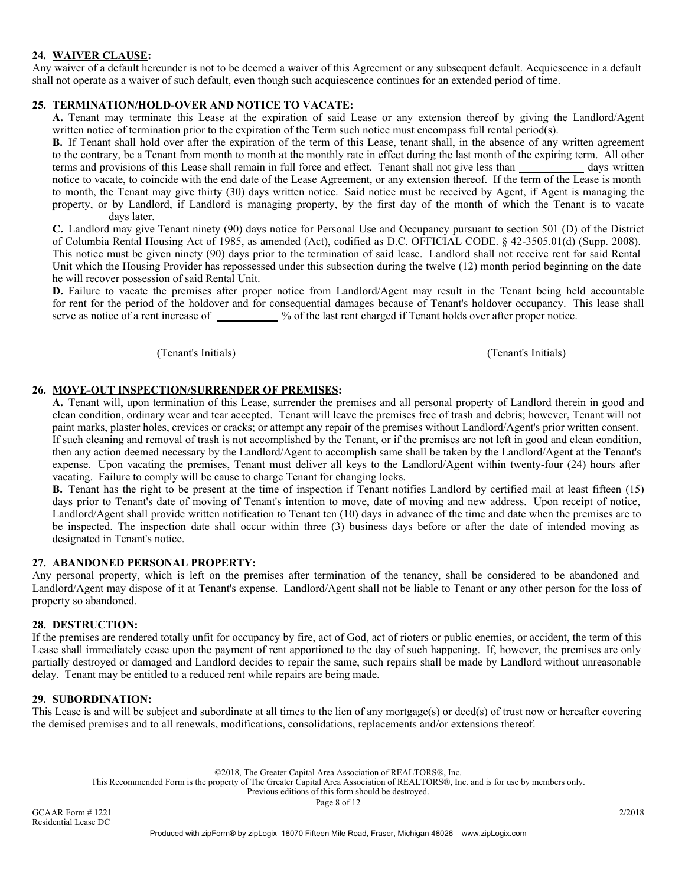### 24. WAIVER CLAUSE:

Any waiver of a default hereunder is not to be deemed a waiver of this Agreement or any subsequent default. Acquiescence in a default shall not operate as a waiver of such default, even though such acquiescence continues for an extended period of time.

## 25. TERMINATION/HOLD-OVER AND NOTICE TO VACATE:

A. Tenant may terminate this Lease at the expiration of said Lease or any extension thereof by giving the Landlord/Agent written notice of termination prior to the expiration of the Term such notice must encompass full rental period(s).

B. If Tenant shall hold over after the expiration of the term of this Lease, tenant shall, in the absence of any written agreement to the contrary, be a Tenant from month to month at the monthly rate in effect during the last month of the expiring term. All other terms and provisions of this Lease shall remain in full force and effect. Tenant shall not give less than days written notice to vacate, to coincide with the end date of the Lease Agreement, or any extension thereof. If the term of the Lease is month to month, the Tenant may give thirty (30) days written notice. Said notice must be received by Agent, if Agent is managing the property, or by Landlord, if Landlord is managing property, by the first day of the month of which the Tenant is to vacate days later.

C. Landlord may give Tenant ninety (90) days notice for Personal Use and Occupancy pursuant to section 501 (D) of the District of Columbia Rental Housing Act of 1985, as amended (Act), codified as D.C. OFFICIAL CODE. § 42-3505.01(d) (Supp. 2008). This notice must be given ninety (90) days prior to the termination of said lease. Landlord shall not receive rent for said Rental Unit which the Housing Provider has repossessed under this subsection during the twelve (12) month period beginning on the date he will recover possession of said Rental Unit.

D. Failure to vacate the premises after proper notice from Landlord/Agent may result in the Tenant being held accountable for rent for the period of the holdover and for consequential damages because of Tenant's holdover occupancy. This lease shall serve as notice of a rent increase of  $\_\_\_\_\_\$  % of the last rent charged if Tenant holds over after proper notice.

(Tenant's Initials) (Tenant's Initials)

### 26. MOVE-OUT INSPECTION/SURRENDER OF PREMISES:

A. Tenant will, upon termination of this Lease, surrender the premises and all personal property of Landlord therein in good and clean condition, ordinary wear and tear accepted. Tenant will leave the premises free of trash and debris; however, Tenant will not paint marks, plaster holes, crevices or cracks; or attempt any repair of the premises without Landlord/Agent's prior written consent. If such cleaning and removal of trash is not accomplished by the Tenant, or if the premises are not left in good and clean condition, then any action deemed necessary by the Landlord/Agent to accomplish same shall be taken by the Landlord/Agent at the Tenant's expense. Upon vacating the premises, Tenant must deliver all keys to the Landlord/Agent within twenty-four (24) hours after vacating. Failure to comply will be cause to charge Tenant for changing locks.

B. Tenant has the right to be present at the time of inspection if Tenant notifies Landlord by certified mail at least fifteen (15) days prior to Tenant's date of moving of Tenant's intention to move, date of moving and new address. Upon receipt of notice, Landlord/Agent shall provide written notification to Tenant ten (10) days in advance of the time and date when the premises are to be inspected. The inspection date shall occur within three (3) business days before or after the date of intended moving as designated in Tenant's notice.

### 27. ABANDONED PERSONAL PROPERTY:

Any personal property, which is left on the premises after termination of the tenancy, shall be considered to be abandoned and Landlord/Agent may dispose of it at Tenant's expense. Landlord/Agent shall not be liable to Tenant or any other person for the loss of property so abandoned.

#### 28. DESTRUCTION:

If the premises are rendered totally unfit for occupancy by fire, act of God, act of rioters or public enemies, or accident, the term of this Lease shall immediately cease upon the payment of rent apportioned to the day of such happening. If, however, the premises are only partially destroyed or damaged and Landlord decides to repair the same, such repairs shall be made by Landlord without unreasonable delay. Tenant may be entitled to a reduced rent while repairs are being made.

#### 29. SUBORDINATION:

This Lease is and will be subject and subordinate at all times to the lien of any mortgage(s) or deed(s) of trust now or hereafter covering the demised premises and to all renewals, modifications, consolidations, replacements and/or extensions thereof.

©2018, The Greater Capital Area Association of REALTORS®, Inc.

This Recommended Form is the property of The Greater Capital Area Association of REALTORS®, Inc. and is for use by members only.

Previous editions of this form should be destroyed.

Page 8 of 12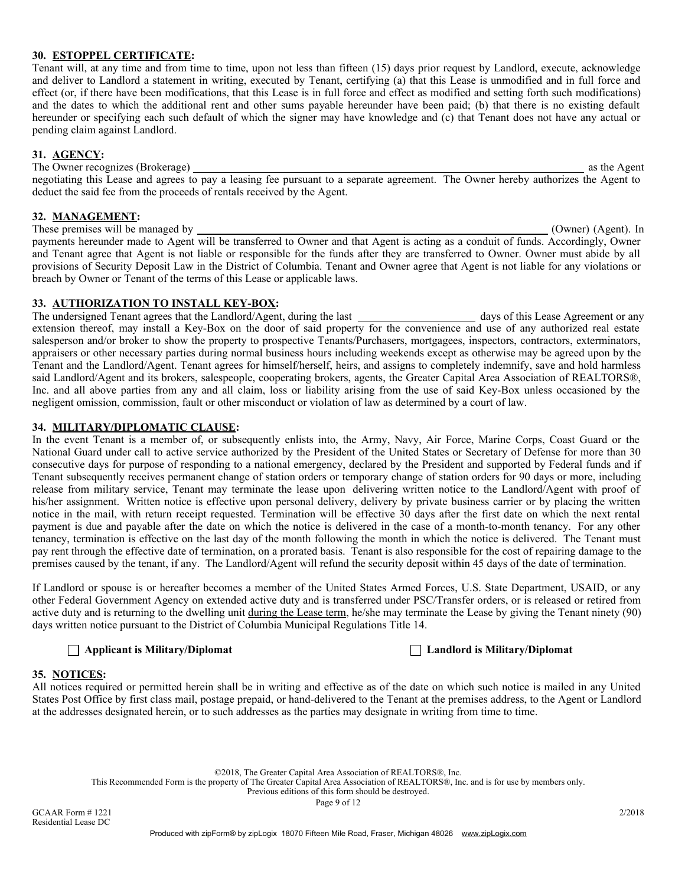### 30. ESTOPPEL CERTIFICATE:

Tenant will, at any time and from time to time, upon not less than fifteen (15) days prior request by Landlord, execute, acknowledge and deliver to Landlord a statement in writing, executed by Tenant, certifying (a) that this Lease is unmodified and in full force and effect (or, if there have been modifications, that this Lease is in full force and effect as modified and setting forth such modifications) and the dates to which the additional rent and other sums payable hereunder have been paid; (b) that there is no existing default hereunder or specifying each such default of which the signer may have knowledge and (c) that Tenant does not have any actual or pending claim against Landlord.

#### 31. AGENCY:

The Owner recognizes (Brokerage) as the Agent negotiating this Lease and agrees to pay a leasing fee pursuant to a separate agreement. The Owner hereby authorizes the Agent to deduct the said fee from the proceeds of rentals received by the Agent.

#### 32. MANAGEMENT:

These premises will be managed by (Owner) (Agent). In payments hereunder made to Agent will be transferred to Owner and that Agent is acting as a conduit of funds. Accordingly, Owner and Tenant agree that Agent is not liable or responsible for the funds after they are transferred to Owner. Owner must abide by all provisions of Security Deposit Law in the District of Columbia. Tenant and Owner agree that Agent is not liable for any violations or breach by Owner or Tenant of the terms of this Lease or applicable laws.

### 33. AUTHORIZATION TO INSTALL KEY-BOX:

The undersigned Tenant agrees that the Landlord/Agent, during the last days of this Lease Agreement or any extension thereof, may install a Key-Box on the door of said property for the convenience and use of any authorized real estate salesperson and/or broker to show the property to prospective Tenants/Purchasers, mortgagees, inspectors, contractors, exterminators, appraisers or other necessary parties during normal business hours including weekends except as otherwise may be agreed upon by the Tenant and the Landlord/Agent. Tenant agrees for himself/herself, heirs, and assigns to completely indemnify, save and hold harmless said Landlord/Agent and its brokers, salespeople, cooperating brokers, agents, the Greater Capital Area Association of REALTORS®, Inc. and all above parties from any and all claim, loss or liability arising from the use of said Key-Box unless occasioned by the negligent omission, commission, fault or other misconduct or violation of law as determined by a court of law.

### 34. MILITARY/DIPLOMATIC CLAUSE:

In the event Tenant is a member of, or subsequently enlists into, the Army, Navy, Air Force, Marine Corps, Coast Guard or the National Guard under call to active service authorized by the President of the United States or Secretary of Defense for more than 30 consecutive days for purpose of responding to a national emergency, declared by the President and supported by Federal funds and if Tenant subsequently receives permanent change of station orders or temporary change of station orders for 90 days or more, including release from military service, Tenant may terminate the lease upon delivering written notice to the Landlord/Agent with proof of his/her assignment. Written notice is effective upon personal delivery, delivery by private business carrier or by placing the written notice in the mail, with return receipt requested. Termination will be effective 30 days after the first date on which the next rental payment is due and payable after the date on which the notice is delivered in the case of a month-to-month tenancy. For any other tenancy, termination is effective on the last day of the month following the month in which the notice is delivered. The Tenant must pay rent through the effective date of termination, on a prorated basis. Tenant is also responsible for the cost of repairing damage to the premises caused by the tenant, if any. The Landlord/Agent will refund the security deposit within 45 days of the date of termination.

If Landlord or spouse is or hereafter becomes a member of the United States Armed Forces, U.S. State Department, USAID, or any other Federal Government Agency on extended active duty and is transferred under PSC/Transfer orders, or is released or retired from active duty and is returning to the dwelling unit during the Lease term, he/she may terminate the Lease by giving the Tenant ninety (90) days written notice pursuant to the District of Columbia Municipal Regulations Title 14.

### Applicant is Military/Diplomat Landlord is Military/Diplomat

#### 35. NOTICES:

All notices required or permitted herein shall be in writing and effective as of the date on which such notice is mailed in any United States Post Office by first class mail, postage prepaid, or hand-delivered to the Tenant at the premises address, to the Agent or Landlord at the addresses designated herein, or to such addresses as the parties may designate in writing from time to time.

©2018, The Greater Capital Area Association of REALTORS®, Inc.

This Recommended Form is the property of The Greater Capital Area Association of REALTORS®, Inc. and is for use by members only.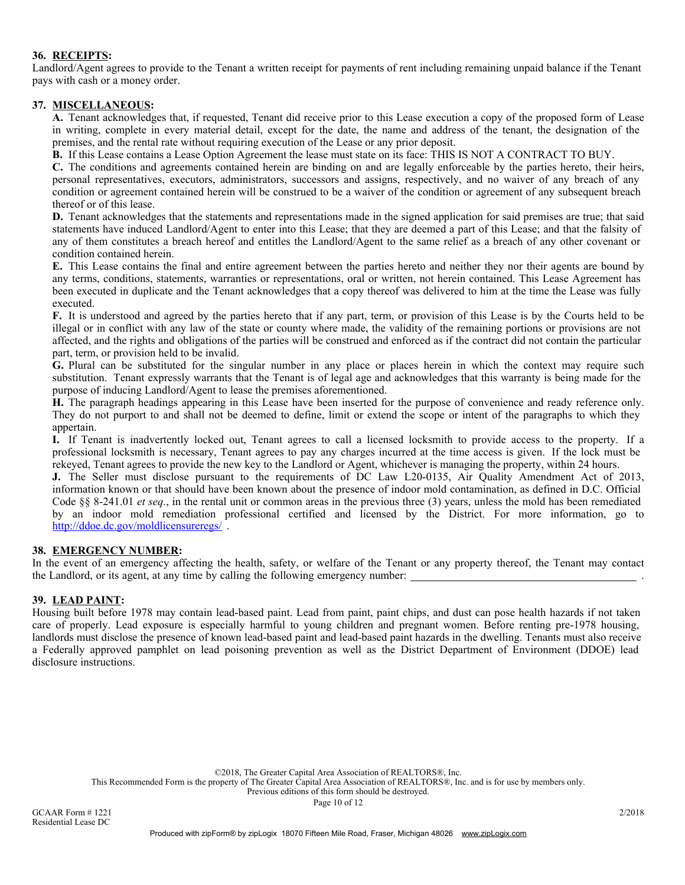## 36. RECEIPTS:

Landlord/Agent agrees to provide to the Tenant a written receipt for payments of rent including remaining unpaid balance if the Tenant pays with cash or a money order.

#### 37. MISCELLANEOUS:

A. Tenant acknowledges that, if requested, Tenant did receive prior to this Lease execution a copy of the proposed form of Lease in writing, complete in every material detail, except for the date, the name and address of the tenant, the designation of the premises, and the rental rate without requiring execution of the Lease or any prior deposit.

B. If this Lease contains a Lease Option Agreement the lease must state on its face: THIS IS NOT A CONTRACT TO BUY.

C. The conditions and agreements contained herein are binding on and are legally enforceable by the parties hereto, their heirs, personal representatives, executors, administrators, successors and assigns, respectively, and no waiver of any breach of any condition or agreement contained herein will be construed to be a waiver of the condition or agreement of any subsequent breach thereof or of this lease.

D. Tenant acknowledges that the statements and representations made in the signed application for said premises are true; that said statements have induced Landlord/Agent to enter into this Lease; that they are deemed a part of this Lease; and that the falsity of any of them constitutes a breach hereof and entitles the Landlord/Agent to the same relief as a breach of any other covenant or condition contained herein.

E. This Lease contains the final and entire agreement between the parties hereto and neither they nor their agents are bound by any terms, conditions, statements, warranties or representations, oral or written, not herein contained. This Lease Agreement has been executed in duplicate and the Tenant acknowledges that a copy thereof was delivered to him at the time the Lease was fully executed.

F. It is understood and agreed by the parties hereto that if any part, term, or provision of this Lease is by the Courts held to be illegal or in conflict with any law of the state or county where made, the validity of the remaining portions or provisions are not affected, and the rights and obligations of the parties will be construed and enforced as if the contract did not contain the particular part, term, or provision held to be invalid.

G. Plural can be substituted for the singular number in any place or places herein in which the context may require such substitution. Tenant expressly warrants that the Tenant is of legal age and acknowledges that this warranty is being made for the purpose of inducing Landlord/Agent to lease the premises aforementioned.

H. The paragraph headings appearing in this Lease have been inserted for the purpose of convenience and ready reference only. They do not purport to and shall not be deemed to define, limit or extend the scope or intent of the paragraphs to which they appertain.

I. If Tenant is inadvertently locked out, Tenant agrees to call a licensed locksmith to provide access to the property. If a professional locksmith is necessary, Tenant agrees to pay any charges incurred at the time access is given. If the lock must be rekeyed, Tenant agrees to provide the new key to the Landlord or Agent, whichever is managing the property, within 24 hours.

J. The Seller must disclose pursuant to the requirements of DC Law L20-0135, Air Quality Amendment Act of 2013, information known or that should have been known about the presence of indoor mold contamination, as defined in D.C. Official Code §§ 8-241.01 *et seq.*, in the rental unit or common areas in the previous three (3) years, unless the mold has been remediated by an indoor mold remediation professional certified and licensed by the District. For more information, go to http://ddoe.dc.gov/moldlicensureregs/ .

#### 38. EMERGENCY NUMBER:

In the event of an emergency affecting the health, safety, or welfare of the Tenant or any property thereof, the Tenant may contact the Landlord, or its agent, at any time by calling the following emergency number: .

#### 39. LEAD PAINT:

Housing built before 1978 may contain lead-based paint. Lead from paint, paint chips, and dust can pose health hazards if not taken care of properly. Lead exposure is especially harmful to young children and pregnant women. Before renting pre-1978 housing, landlords must disclose the presence of known lead-based paint and lead-based paint hazards in the dwelling. Tenants must also receive a Federally approved pamphlet on lead poisoning prevention as well as the District Department of Environment (DDOE) lead disclosure instructions.

©2018, The Greater Capital Area Association of REALTORS®, Inc.

This Recommended Form is the property of The Greater Capital Area Association of REALTORS®, Inc. and is for use by members only.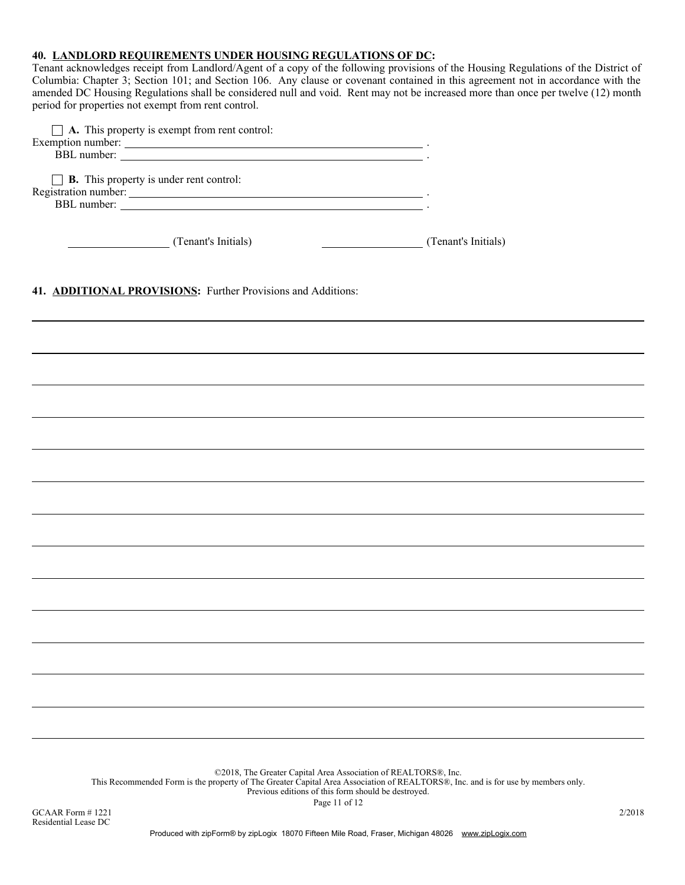# 40. LANDLORD REQUIREMENTS UNDER HOUSING REGULATIONS OF DC:

Tenant acknowledges receipt from Landlord/Agent of a copy of the following provisions of the Housing Regulations of the District of Columbia: Chapter 3; Section 101; and Section 106. Any clause or covenant contained in this agreement not in accordance with the amended DC Housing Regulations shall be considered null and void. Rent may not be increased more than once per twelve (12) month period for properties not exempt from rent control.

| $\Box$ <b>A.</b> This property is exempt from rent control:<br>Exemption number:<br>BBL number:                                                                                                                                                             |                     |
|-------------------------------------------------------------------------------------------------------------------------------------------------------------------------------------------------------------------------------------------------------------|---------------------|
| $\Box$ <b>B.</b> This property is under rent control:<br>Registration number:<br>BBL number:                                                                                                                                                                |                     |
| (Tenant's Initials)<br><u>and the state of the state of the state of the state of the state of the state of the state of the state of the state of the state of the state of the state of the state of the state of the state of the state of the state</u> | (Tenant's Initials) |
| 41. ADDITIONAL PROVISIONS: Further Provisions and Additions:                                                                                                                                                                                                |                     |
|                                                                                                                                                                                                                                                             |                     |
|                                                                                                                                                                                                                                                             |                     |
|                                                                                                                                                                                                                                                             |                     |

©2018, The Greater Capital Area Association of REALTORS®, Inc.

This Recommended Form is the property of The Greater Capital Area Association of REALTORS®, Inc. and is for use by members only.